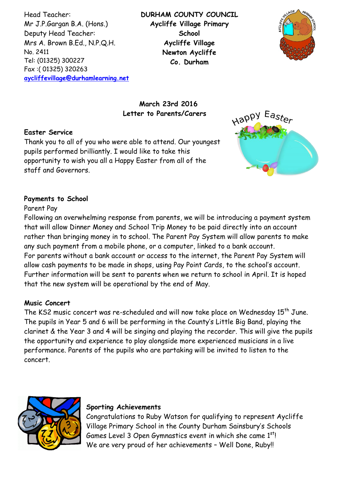Head Teacher: Mr J.P.Gargan B.A. (Hons.) Deputy Head Teacher: Mrs A. Brown B.Ed., N.P.Q.H. No. 2411 Tel: (01325) 300227 Fax :( 01325) 320263 **[aycliffevillage@durhamlearning.net](mailto:aycliffevillage@durhamlearning.net)** **DURHAM COUNTY COUNCIL Aycliffe Village Primary School Aycliffe Village Newton Aycliffe Co. Durham**



## **March 23rd 2016 Letter to Parents/Carers**

## **Easter Service**

Thank you to all of you who were able to attend. Our youngest pupils performed brilliantly. I would like to take this opportunity to wish you all a Happy Easter from all of the staff and Governors.



## **Payments to School**

#### Parent Pay

Following an overwhelming response from parents, we will be introducing a payment system that will allow Dinner Money and School Trip Money to be paid directly into an account rather than bringing money in to school. The Parent Pay System will allow parents to make any such payment from a mobile phone, or a computer, linked to a bank account. For parents without a bank account or access to the internet, the Parent Pay System will allow cash payments to be made in shops, using Pay Point Cards, to the school's account. Further information will be sent to parents when we return to school in April. It is hoped that the new system will be operational by the end of May.

#### **Music Concert**

The KS2 music concert was re-scheduled and will now take place on Wednesday 15<sup>th</sup> June. The pupils in Year 5 and 6 will be performing in the County's Little Big Band, playing the clarinet & the Year 3 and 4 will be singing and playing the recorder. This will give the pupils the opportunity and experience to play alongside more experienced musicians in a live performance. Parents of the pupils who are partaking will be invited to listen to the concert.



#### **Sporting Achievements**

Congratulations to Ruby Watson for qualifying to represent Aycliffe Village Primary School in the County Durham Sainsbury's Schools Games Level 3 Open Gymnastics event in which she came  $1<sup>st</sup>$ ! We are very proud of her achievements - Well Done, Ruby!!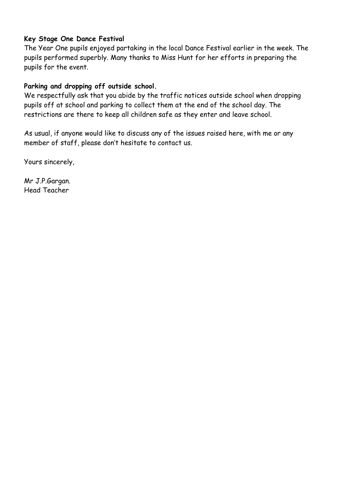## **Key Stage One Dance Festival**

The Year One pupils enjoyed partaking in the local Dance Festival earlier in the week. The pupils performed superbly. Many thanks to Miss Hunt for her efforts in preparing the pupils for the event.

# **Parking and dropping off outside school.**

We respectfully ask that you abide by the traffic notices outside school when dropping pupils off at school and parking to collect them at the end of the school day. The restrictions are there to keep all children safe as they enter and leave school.

As usual, if anyone would like to discuss any of the issues raised here, with me or any member of staff, please don't hesitate to contact us.

Yours sincerely,

Mr J.P.Gargan. Head Teacher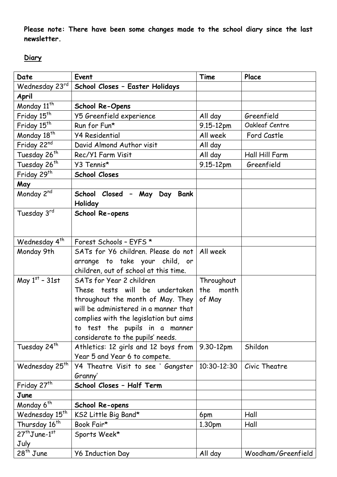**Please note: There have been some changes made to the school diary since the last newsletter.**

# **Diary**

| Date                       | Event                                                                 | Time               | Place              |
|----------------------------|-----------------------------------------------------------------------|--------------------|--------------------|
| Wednesday 23rd             | School Closes - Easter Holidays                                       |                    |                    |
| April                      |                                                                       |                    |                    |
| Monday 11 <sup>th</sup>    | <b>School Re-Opens</b>                                                |                    |                    |
| Friday 15 <sup>th</sup>    | Y5 Greenfield experience                                              | All day            | Greenfield         |
| Friday 15 <sup>th</sup>    | Run for Fun*                                                          | 9.15-12pm          | Oakleaf Centre     |
| Monday 18 <sup>th</sup>    | <b>Y4 Residential</b>                                                 | All week           | Ford Castle        |
| Friday 22nd                | David Almond Author visit                                             | All day            |                    |
| Tuesday 26 <sup>th</sup>   | Rec/Y1 Farm Visit                                                     | All day            | Hall Hill Farm     |
| Tuesday 26 <sup>th</sup>   | Y3 Tennis*                                                            | 9.15-12pm          | Greenfield         |
| Friday 29 <sup>th</sup>    | <b>School Closes</b>                                                  |                    |                    |
| May                        |                                                                       |                    |                    |
| Monday 2nd                 | School Closed - May Day Bank<br>Holiday                               |                    |                    |
| Tuesday 3rd                | School Re-opens                                                       |                    |                    |
| Wednesday 4 <sup>th</sup>  | Forest Schools - EYFS *                                               |                    |                    |
| Monday 9th                 | SATs for Y6 children. Please do not                                   | All week           |                    |
|                            | arrange to take your child, or                                        |                    |                    |
|                            | children, out of school at this time.                                 |                    |                    |
| May $1st$ - 31st           | SATs for Year 2 children                                              | Throughout         |                    |
|                            | These tests will be undertaken                                        | month<br>the       |                    |
|                            | throughout the month of May. They                                     | of May             |                    |
|                            | will be administered in a manner that                                 |                    |                    |
|                            | complies with the legislation but aims                                |                    |                    |
|                            | to test the pupils in a manner                                        |                    |                    |
|                            | considerate to the pupils' needs.                                     |                    |                    |
| Tuesday 24 <sup>th</sup>   | Athletics: 12 girls and 12 boys from<br>Year 5 and Year 6 to compete. | 9.30-12pm          | Shildon            |
| Wednesday 25 <sup>th</sup> | Y4 Theatre Visit to see ' Gangster                                    | 10:30-12:30        | Civic Theatre      |
|                            | Granny'                                                               |                    |                    |
| Friday 27 <sup>th</sup>    | School Closes - Half Term                                             |                    |                    |
| June                       |                                                                       |                    |                    |
| Monday 6 <sup>th</sup>     | School Re-opens                                                       |                    |                    |
| Wednesday 15 <sup>th</sup> | KS2 Little Big Band*                                                  | 6pm                | Hall               |
| Thursday 16 <sup>th</sup>  | Book Fair*                                                            | 1.30 <sub>pm</sub> | Hall               |
| $27th$ June-1st            | Sports Week*                                                          |                    |                    |
| July                       |                                                                       |                    |                    |
| $28th$ June                | <b>Y6 Induction Day</b>                                               | All day            | Woodham/Greenfield |